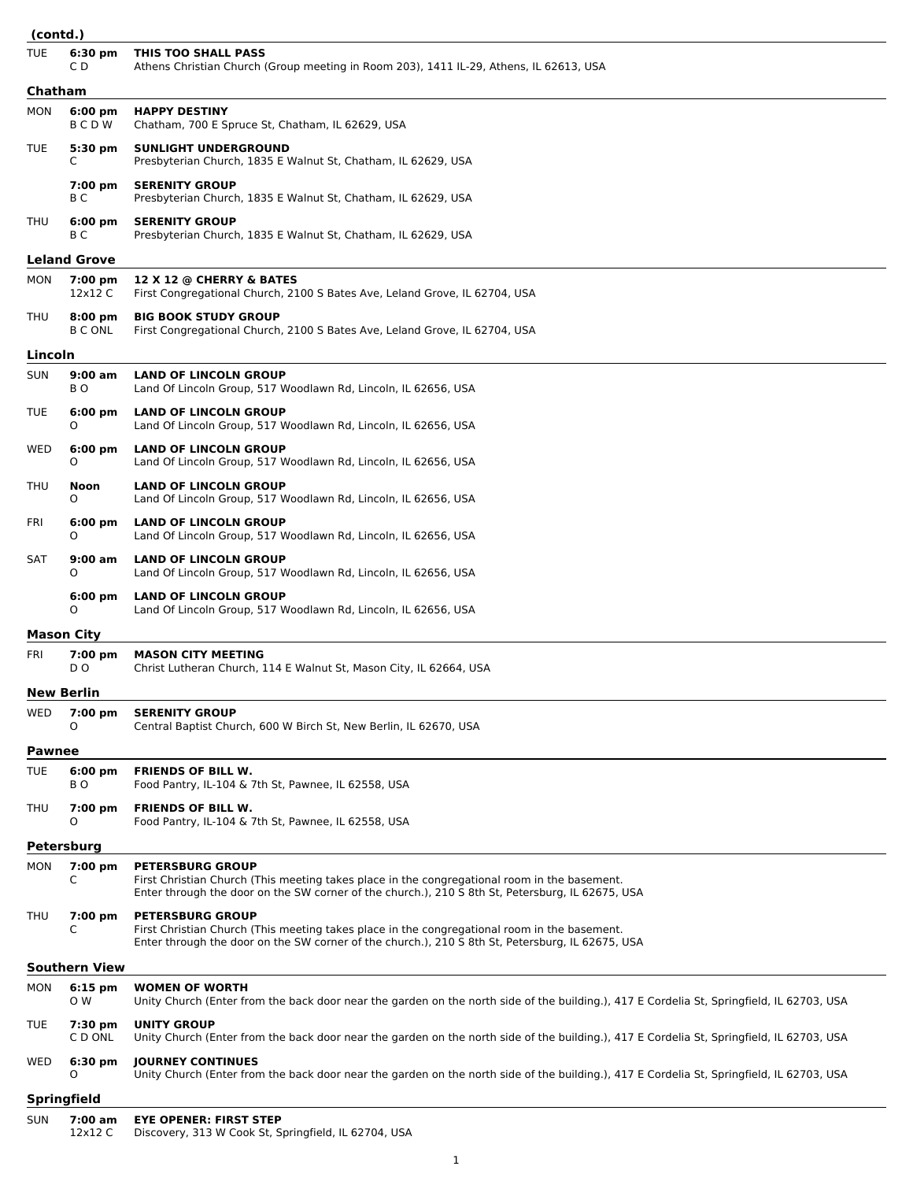| (contd.)      |                                     |                                                                                                                                                                                                                             |
|---------------|-------------------------------------|-----------------------------------------------------------------------------------------------------------------------------------------------------------------------------------------------------------------------------|
| <b>TUE</b>    | 6:30 pm<br>C D                      | THIS TOO SHALL PASS<br>Athens Christian Church (Group meeting in Room 203), 1411 IL-29, Athens, IL 62613, USA                                                                                                               |
| Chatham       |                                     |                                                                                                                                                                                                                             |
| MON           | $6:00$ pm<br>BCDW                   | <b>HAPPY DESTINY</b><br>Chatham, 700 E Spruce St, Chatham, IL 62629, USA                                                                                                                                                    |
| TUE           | $5:30 \text{ pm}$<br>C              | <b>SUNLIGHT UNDERGROUND</b><br>Presbyterian Church, 1835 E Walnut St, Chatham, IL 62629, USA                                                                                                                                |
|               | 7:00 pm<br>ВC                       | <b>SERENITY GROUP</b><br>Presbyterian Church, 1835 E Walnut St, Chatham, IL 62629, USA                                                                                                                                      |
| THU           | $6:00 \text{ pm}$<br>ВC             | <b>SERENITY GROUP</b><br>Presbyterian Church, 1835 E Walnut St, Chatham, IL 62629, USA                                                                                                                                      |
|               | <b>Leland Grove</b>                 |                                                                                                                                                                                                                             |
| MON           | 7:00 pm<br>12x12 C                  | 12 X 12 @ CHERRY & BATES<br>First Congregational Church, 2100 S Bates Ave, Leland Grove, IL 62704, USA                                                                                                                      |
| THU           | $8:00 \text{ pm}$<br><b>B C ONL</b> | <b>BIG BOOK STUDY GROUP</b><br>First Congregational Church, 2100 S Bates Ave, Leland Grove, IL 62704, USA                                                                                                                   |
| Lincoln       |                                     |                                                                                                                                                                                                                             |
| <b>SUN</b>    | 9:00 am<br>BO.                      | <b>LAND OF LINCOLN GROUP</b><br>Land Of Lincoln Group, 517 Woodlawn Rd, Lincoln, IL 62656, USA                                                                                                                              |
| TUE           | $6:00$ pm<br>O                      | <b>LAND OF LINCOLN GROUP</b><br>Land Of Lincoln Group, 517 Woodlawn Rd, Lincoln, IL 62656, USA                                                                                                                              |
| WED           | $6:00 \text{ pm}$<br>O              | <b>LAND OF LINCOLN GROUP</b><br>Land Of Lincoln Group, 517 Woodlawn Rd, Lincoln, IL 62656, USA                                                                                                                              |
| THU           | Noon<br>0                           | <b>LAND OF LINCOLN GROUP</b><br>Land Of Lincoln Group, 517 Woodlawn Rd, Lincoln, IL 62656, USA                                                                                                                              |
| FRI           | $6:00 \text{ pm}$<br>O              | <b>LAND OF LINCOLN GROUP</b><br>Land Of Lincoln Group, 517 Woodlawn Rd, Lincoln, IL 62656, USA                                                                                                                              |
| SAT           | $9:00$ am<br>O                      | <b>LAND OF LINCOLN GROUP</b><br>Land Of Lincoln Group, 517 Woodlawn Rd, Lincoln, IL 62656, USA                                                                                                                              |
|               | $6:00 \text{ pm}$<br>O              | <b>LAND OF LINCOLN GROUP</b><br>Land Of Lincoln Group, 517 Woodlawn Rd, Lincoln, IL 62656, USA                                                                                                                              |
|               | <b>Mason City</b>                   |                                                                                                                                                                                                                             |
| FRI           | 7:00 pm<br>D O                      | <b>MASON CITY MEETING</b><br>Christ Lutheran Church, 114 E Walnut St, Mason City, IL 62664, USA                                                                                                                             |
|               | New Berlin                          |                                                                                                                                                                                                                             |
| WED           | 7:00 pm<br>Ο                        | <b>SERENITY GROUP</b><br>Central Baptist Church, 600 W Birch St, New Berlin, IL 62670, USA                                                                                                                                  |
| <b>Pawnee</b> |                                     |                                                                                                                                                                                                                             |
| TUE           | $6:00$ pm<br>BO.                    | <b>FRIENDS OF BILL W.</b><br>Food Pantry, IL-104 & 7th St, Pawnee, IL 62558, USA                                                                                                                                            |
| THU           | 7:00 pm<br>O                        | <b>FRIENDS OF BILL W.</b><br>Food Pantry, IL-104 & 7th St, Pawnee, IL 62558, USA                                                                                                                                            |
|               | <b>Petersburg</b>                   |                                                                                                                                                                                                                             |
| MON           | 7:00 pm<br>C                        | <b>PETERSBURG GROUP</b><br>First Christian Church (This meeting takes place in the congregational room in the basement.<br>Enter through the door on the SW corner of the church.), 210 S 8th St, Petersburg, IL 62675, USA |
| THU           | 7:00 pm<br>C                        | <b>PETERSBURG GROUP</b><br>First Christian Church (This meeting takes place in the congregational room in the basement.<br>Enter through the door on the SW corner of the church.), 210 S 8th St, Petersburg, IL 62675, USA |
|               | <b>Southern View</b>                |                                                                                                                                                                                                                             |
| MON           | $6:15$ pm<br>O W                    | <b>WOMEN OF WORTH</b><br>Unity Church (Enter from the back door near the garden on the north side of the building.), 417 E Cordelia St, Springfield, IL 62703, USA                                                          |
| TUE           | 7:30 pm<br>C D ONL                  | <b>UNITY GROUP</b><br>Unity Church (Enter from the back door near the garden on the north side of the building.), 417 E Cordelia St, Springfield, IL 62703, USA                                                             |
| WED           | $6:30 \text{ pm}$<br>O              | <b>JOURNEY CONTINUES</b><br>Unity Church (Enter from the back door near the garden on the north side of the building.), 417 E Cordelia St, Springfield, IL 62703, USA                                                       |
|               | <b>Springfield</b>                  |                                                                                                                                                                                                                             |
| <b>SUN</b>    | 7:00 am<br>12x12 C                  | <b>EYE OPENER: FIRST STEP</b><br>Discovery, 313 W Cook St, Springfield, IL 62704, USA                                                                                                                                       |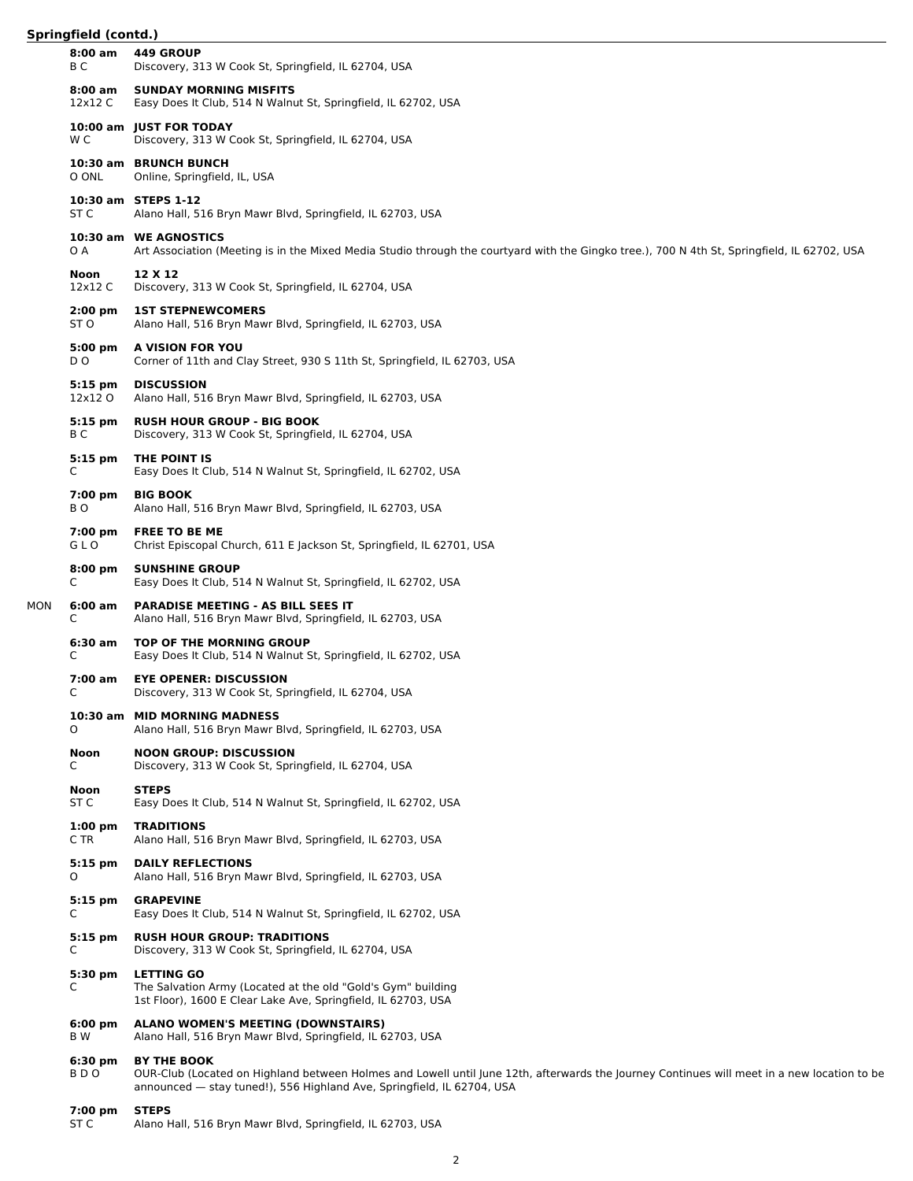|     | $8:00$ am<br>ВC    | 449 GROUP<br>Discovery, 313 W Cook St, Springfield, IL 62704, USA                                                                                                                                                                           |
|-----|--------------------|---------------------------------------------------------------------------------------------------------------------------------------------------------------------------------------------------------------------------------------------|
|     | 8:00 am<br>12x12 C | <b>SUNDAY MORNING MISFITS</b><br>Easy Does It Club, 514 N Walnut St, Springfield, IL 62702, USA                                                                                                                                             |
|     | W C                | 10:00 am JUST FOR TODAY<br>Discovery, 313 W Cook St, Springfield, IL 62704, USA                                                                                                                                                             |
|     | O ONL              | 10:30 am BRUNCH BUNCH<br>Online, Springfield, IL, USA                                                                                                                                                                                       |
|     | ST C               | 10:30 am STEPS 1-12<br>Alano Hall, 516 Bryn Mawr Blvd, Springfield, IL 62703, USA                                                                                                                                                           |
|     | O A                | 10:30 am WE AGNOSTICS<br>Art Association (Meeting is in the Mixed Media Studio through the courtyard with the Gingko tree.), 700 N 4th St, Springfield, IL 62702, USA                                                                       |
|     | Noon<br>12x12 C    | 12 X 12<br>Discovery, 313 W Cook St, Springfield, IL 62704, USA                                                                                                                                                                             |
|     | $2:00$ pm<br>ST O  | <b>1ST STEPNEWCOMERS</b><br>Alano Hall, 516 Bryn Mawr Blvd, Springfield, IL 62703, USA                                                                                                                                                      |
|     | 5:00 pm<br>D O     | A VISION FOR YOU<br>Corner of 11th and Clay Street, 930 S 11th St, Springfield, IL 62703, USA                                                                                                                                               |
|     | 5:15 pm<br>12x12 O | <b>DISCUSSION</b><br>Alano Hall, 516 Bryn Mawr Blvd, Springfield, IL 62703, USA                                                                                                                                                             |
|     | $5:15$ pm<br>ВC    | <b>RUSH HOUR GROUP - BIG BOOK</b><br>Discovery, 313 W Cook St, Springfield, IL 62704, USA                                                                                                                                                   |
|     | $5:15$ pm<br>C     | THE POINT IS<br>Easy Does It Club, 514 N Walnut St, Springfield, IL 62702, USA                                                                                                                                                              |
|     | $7:00$ pm<br>BO.   | <b>BIG BOOK</b><br>Alano Hall, 516 Bryn Mawr Blvd, Springfield, IL 62703, USA                                                                                                                                                               |
|     | $7:00$ pm<br>GLO   | <b>FREE TO BE ME</b><br>Christ Episcopal Church, 611 E Jackson St, Springfield, IL 62701, USA                                                                                                                                               |
|     | $8:00$ pm<br>C     | <b>SUNSHINE GROUP</b><br>Easy Does It Club, 514 N Walnut St, Springfield, IL 62702, USA                                                                                                                                                     |
| MON | 6:00 am<br>С       | <b>PARADISE MEETING - AS BILL SEES IT</b><br>Alano Hall, 516 Bryn Mawr Blvd, Springfield, IL 62703, USA                                                                                                                                     |
|     | 6:30 am<br>C       | TOP OF THE MORNING GROUP<br>Easy Does It Club, 514 N Walnut St, Springfield, IL 62702, USA                                                                                                                                                  |
|     | $7:00$ am<br>C     | <b>EYE OPENER: DISCUSSION</b><br>Discovery, 313 W Cook St, Springfield, IL 62704, USA                                                                                                                                                       |
|     | 0                  | 10:30 am MID MORNING MADNESS<br>Alano Hall, 516 Bryn Mawr Blvd, Springfield, IL 62703, USA                                                                                                                                                  |
|     | Noon<br>C          | <b>NOON GROUP: DISCUSSION</b><br>Discovery, 313 W Cook St, Springfield, IL 62704, USA                                                                                                                                                       |
|     | Noon<br>ST C       | <b>STEPS</b><br>Easy Does It Club, 514 N Walnut St, Springfield, IL 62702, USA                                                                                                                                                              |
|     | $1:00$ pm<br>C TR  | <b>TRADITIONS</b><br>Alano Hall, 516 Bryn Mawr Blvd, Springfield, IL 62703, USA                                                                                                                                                             |
|     | $5:15$ pm<br>O     | <b>DAILY REFLECTIONS</b><br>Alano Hall, 516 Bryn Mawr Blvd, Springfield, IL 62703, USA                                                                                                                                                      |
|     | $5:15$ pm<br>C     | <b>GRAPEVINE</b><br>Easy Does It Club, 514 N Walnut St, Springfield, IL 62702, USA                                                                                                                                                          |
|     | $5:15$ pm<br>C     | <b>RUSH HOUR GROUP: TRADITIONS</b><br>Discovery, 313 W Cook St, Springfield, IL 62704, USA                                                                                                                                                  |
|     | 5:30 pm<br>C       | <b>LETTING GO</b><br>The Salvation Army (Located at the old "Gold's Gym" building<br>1st Floor), 1600 E Clear Lake Ave, Springfield, IL 62703, USA                                                                                          |
|     | $6:00$ pm<br>B W   | <b>ALANO WOMEN'S MEETING (DOWNSTAIRS)</b><br>Alano Hall, 516 Bryn Mawr Blvd, Springfield, IL 62703, USA                                                                                                                                     |
|     | 6:30 pm<br>BDO     | <b>BY THE BOOK</b><br>OUR-Club (Located on Highland between Holmes and Lowell until June 12th, afterwards the Journey Continues will meet in a new location to be<br>announced - stay tuned!), 556 Highland Ave, Springfield, IL 62704, USA |
|     | 7:00 pm<br>ST C    | <b>STEPS</b><br>Alano Hall, 516 Bryn Mawr Blvd, Springfield, IL 62703, USA                                                                                                                                                                  |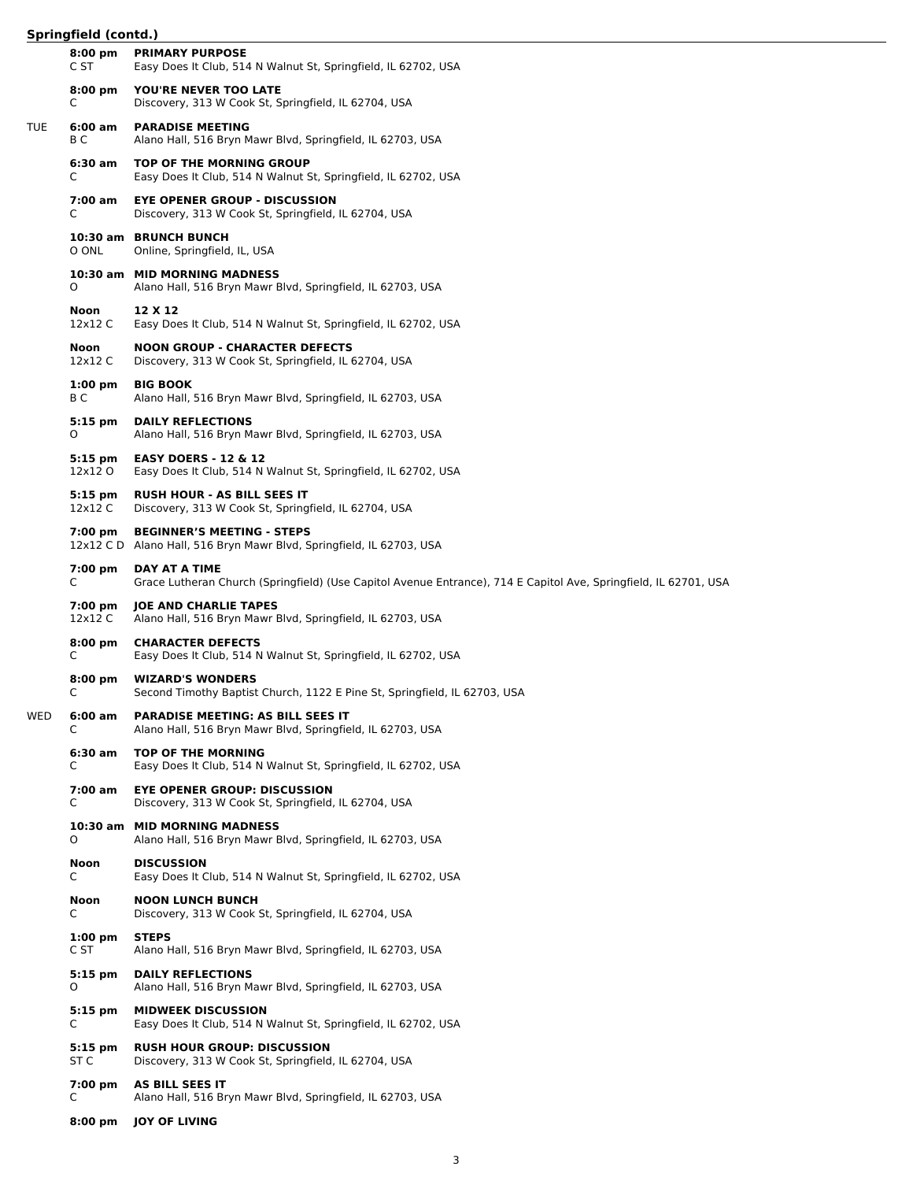|            | 5.111                |                                                                                                                                   |
|------------|----------------------|-----------------------------------------------------------------------------------------------------------------------------------|
|            | $8:00$ pm<br>C ST    | <b>PRIMARY PURPOSE</b><br>Easy Does It Club, 514 N Walnut St, Springfield, IL 62702, USA                                          |
|            | $8:00$ pm<br>C       | YOU'RE NEVER TOO LATE<br>Discovery, 313 W Cook St, Springfield, IL 62704, USA                                                     |
| <b>TUE</b> | 6:00 am<br>B C       | <b>PARADISE MEETING</b><br>Alano Hall, 516 Bryn Mawr Blvd, Springfield, IL 62703, USA                                             |
|            | 6:30 am<br>C         | <b>TOP OF THE MORNING GROUP</b><br>Easy Does It Club, 514 N Walnut St, Springfield, IL 62702, USA                                 |
|            | 7:00 am<br>C         | <b>EYE OPENER GROUP - DISCUSSION</b><br>Discovery, 313 W Cook St, Springfield, IL 62704, USA                                      |
|            | O ONL                | 10:30 am BRUNCH BUNCH<br>Online, Springfield, IL, USA                                                                             |
|            | O                    | 10:30 am MID MORNING MADNESS<br>Alano Hall, 516 Bryn Mawr Blvd, Springfield, IL 62703, USA                                        |
|            | Noon<br>12x12 C      | 12 X 12<br>Easy Does It Club, 514 N Walnut St, Springfield, IL 62702, USA                                                         |
|            | Noon<br>12x12 C      | <b>NOON GROUP - CHARACTER DEFECTS</b><br>Discovery, 313 W Cook St, Springfield, IL 62704, USA                                     |
|            | $1:00$ pm<br>B C     | <b>BIG BOOK</b><br>Alano Hall, 516 Bryn Mawr Blvd, Springfield, IL 62703, USA                                                     |
|            | $5:15$ pm<br>O       | <b>DAILY REFLECTIONS</b><br>Alano Hall, 516 Bryn Mawr Blvd, Springfield, IL 62703, USA                                            |
|            | 5:15 pm<br>12x12 O   | <b>EASY DOERS - 12 &amp; 12</b><br>Easy Does It Club, 514 N Walnut St, Springfield, IL 62702, USA                                 |
|            | $5:15$ pm<br>12x12 C | <b>RUSH HOUR - AS BILL SEES IT</b><br>Discovery, 313 W Cook St, Springfield, IL 62704, USA                                        |
|            | 7:00 pm              | <b>BEGINNER'S MEETING - STEPS</b><br>12x12 C D Alano Hall, 516 Bryn Mawr Blvd, Springfield, IL 62703, USA                         |
|            | 7:00 pm<br>C         | DAY AT A TIME<br>Grace Lutheran Church (Springfield) (Use Capitol Avenue Entrance), 714 E Capitol Ave, Springfield, IL 62701, USA |
|            | 7:00 pm<br>12x12 C   | <b>JOE AND CHARLIE TAPES</b><br>Alano Hall, 516 Bryn Mawr Blvd, Springfield, IL 62703, USA                                        |
|            | $8:00$ pm<br>C       | <b>CHARACTER DEFECTS</b><br>Easy Does It Club, 514 N Walnut St, Springfield, IL 62702, USA                                        |
|            | $8:00$ pm<br>C       | <b>WIZARD'S WONDERS</b><br>Second Timothy Baptist Church, 1122 E Pine St, Springfield, IL 62703, USA                              |
| WED        | 6:00 am<br>C         | <b>PARADISE MEETING: AS BILL SEES IT</b><br>Alano Hall, 516 Bryn Mawr Blvd, Springfield, IL 62703, USA                            |
|            | 6:30 am<br>C         | <b>TOP OF THE MORNING</b><br>Easy Does It Club, 514 N Walnut St, Springfield, IL 62702, USA                                       |
|            | 7:00 am<br>C         | <b>EYE OPENER GROUP: DISCUSSION</b><br>Discovery, 313 W Cook St, Springfield, IL 62704, USA                                       |
|            | 0                    | 10:30 am MID MORNING MADNESS<br>Alano Hall, 516 Bryn Mawr Blvd, Springfield, IL 62703, USA                                        |
|            | <b>Noon</b><br>C     | <b>DISCUSSION</b><br>Easy Does It Club, 514 N Walnut St, Springfield, IL 62702, USA                                               |
|            | Noon<br>C            | <b>NOON LUNCH BUNCH</b><br>Discovery, 313 W Cook St, Springfield, IL 62704, USA                                                   |
|            | $1:00$ pm<br>C ST    | <b>STEPS</b><br>Alano Hall, 516 Bryn Mawr Blvd, Springfield, IL 62703, USA                                                        |
|            | $5:15$ pm<br>0       | <b>DAILY REFLECTIONS</b><br>Alano Hall, 516 Bryn Mawr Blvd, Springfield, IL 62703, USA                                            |
|            | 5:15 pm<br>C         | <b>MIDWEEK DISCUSSION</b><br>Easy Does It Club, 514 N Walnut St, Springfield, IL 62702, USA                                       |
|            | $5:15$ pm<br>ST C    | <b>RUSH HOUR GROUP: DISCUSSION</b><br>Discovery, 313 W Cook St, Springfield, IL 62704, USA                                        |
|            | 7:00 pm<br>С         | AS BILL SEES IT<br>Alano Hall, 516 Bryn Mawr Blvd, Springfield, IL 62703, USA                                                     |
|            | $8:00$ pm            | <b>JOY OF LIVING</b>                                                                                                              |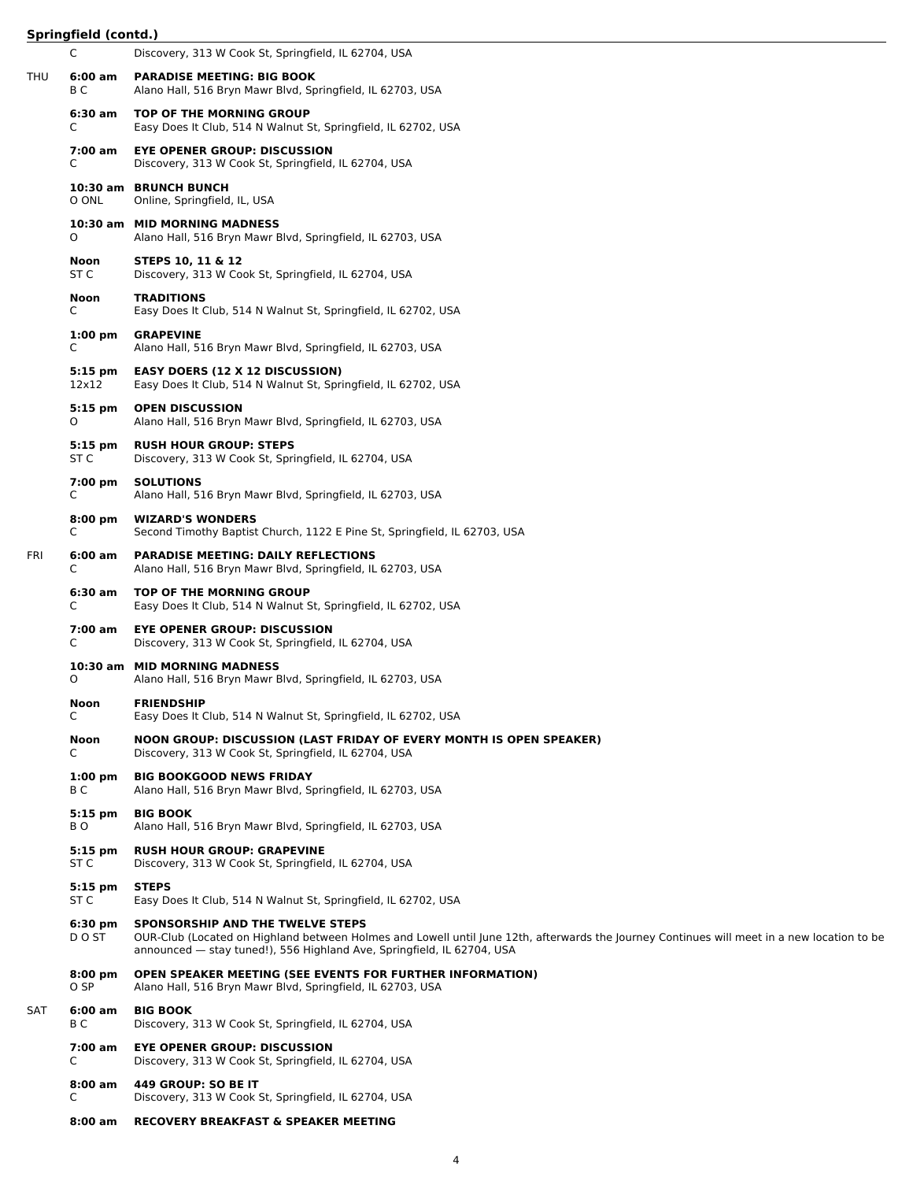|     | C                        | Discovery, 313 W Cook St, Springfield, IL 62704, USA                                                                                                                                                                                                      |
|-----|--------------------------|-----------------------------------------------------------------------------------------------------------------------------------------------------------------------------------------------------------------------------------------------------------|
| THU | 6:00 am<br>B C           | <b>PARADISE MEETING: BIG BOOK</b><br>Alano Hall, 516 Bryn Mawr Blvd, Springfield, IL 62703, USA                                                                                                                                                           |
|     | 6:30 am<br>C             | <b>TOP OF THE MORNING GROUP</b><br>Easy Does It Club, 514 N Walnut St, Springfield, IL 62702, USA                                                                                                                                                         |
|     | 7:00 am<br>C             | <b>EYE OPENER GROUP: DISCUSSION</b><br>Discovery, 313 W Cook St, Springfield, IL 62704, USA                                                                                                                                                               |
|     | O ONL                    | 10:30 am BRUNCH BUNCH<br>Online, Springfield, IL, USA                                                                                                                                                                                                     |
|     | 0                        | 10:30 am MID MORNING MADNESS<br>Alano Hall, 516 Bryn Mawr Blvd, Springfield, IL 62703, USA                                                                                                                                                                |
|     | Noon<br>ST C             | STEPS 10, 11 & 12<br>Discovery, 313 W Cook St, Springfield, IL 62704, USA                                                                                                                                                                                 |
|     | Noon<br>C                | <b>TRADITIONS</b><br>Easy Does It Club, 514 N Walnut St, Springfield, IL 62702, USA                                                                                                                                                                       |
|     | $1:00 \text{ pm}$<br>C   | <b>GRAPEVINE</b><br>Alano Hall, 516 Bryn Mawr Blvd, Springfield, IL 62703, USA                                                                                                                                                                            |
|     | $5:15$ pm<br>12x12       | <b>EASY DOERS (12 X 12 DISCUSSION)</b><br>Easy Does It Club, 514 N Walnut St, Springfield, IL 62702, USA                                                                                                                                                  |
|     | $5:15$ pm<br>0           | <b>OPEN DISCUSSION</b><br>Alano Hall, 516 Bryn Mawr Blvd, Springfield, IL 62703, USA                                                                                                                                                                      |
|     | $5:15$ pm<br>ST C        | <b>RUSH HOUR GROUP: STEPS</b><br>Discovery, 313 W Cook St, Springfield, IL 62704, USA                                                                                                                                                                     |
|     | 7:00 pm<br>C             | <b>SOLUTIONS</b><br>Alano Hall, 516 Bryn Mawr Blvd, Springfield, IL 62703, USA                                                                                                                                                                            |
|     | $8:00 \text{ pm}$<br>C   | <b>WIZARD'S WONDERS</b><br>Second Timothy Baptist Church, 1122 E Pine St, Springfield, IL 62703, USA                                                                                                                                                      |
| FRI | 6:00 am<br>C             | <b>PARADISE MEETING: DAILY REFLECTIONS</b><br>Alano Hall, 516 Bryn Mawr Blvd, Springfield, IL 62703, USA                                                                                                                                                  |
|     | 6:30 am<br>C             | TOP OF THE MORNING GROUP<br>Easy Does It Club, 514 N Walnut St, Springfield, IL 62702, USA                                                                                                                                                                |
|     | 7:00 am<br>C             | <b>EYE OPENER GROUP: DISCUSSION</b><br>Discovery, 313 W Cook St, Springfield, IL 62704, USA                                                                                                                                                               |
|     | 0                        | 10:30 am MID MORNING MADNESS<br>Alano Hall, 516 Bryn Mawr Blvd, Springfield, IL 62703, USA                                                                                                                                                                |
|     | <b>Noon</b><br>Ć         | <b>FRIENDSHIP</b><br>Easy Does It Club, 514 N Walnut St, Springfield, IL 62702, USA                                                                                                                                                                       |
|     | Noon<br>C                | NOON GROUP: DISCUSSION (LAST FRIDAY OF EVERY MONTH IS OPEN SPEAKER)<br>Discovery, 313 W Cook St, Springfield, IL 62704, USA                                                                                                                               |
|     | $1:00 \text{ pm}$<br>B C | <b>BIG BOOKGOOD NEWS FRIDAY</b><br>Alano Hall, 516 Bryn Mawr Blvd, Springfield, IL 62703, USA                                                                                                                                                             |
|     | $5:15$ pm<br>BO.         | <b>BIG BOOK</b><br>Alano Hall, 516 Bryn Mawr Blvd, Springfield, IL 62703, USA                                                                                                                                                                             |
|     | $5:15$ pm<br>ST C        | <b>RUSH HOUR GROUP: GRAPEVINE</b><br>Discovery, 313 W Cook St, Springfield, IL 62704, USA                                                                                                                                                                 |
|     | $5:15$ pm<br>ST C        | <b>STEPS</b><br>Easy Does It Club, 514 N Walnut St, Springfield, IL 62702, USA                                                                                                                                                                            |
|     | $6:30$ pm<br>D O ST      | SPONSORSHIP AND THE TWELVE STEPS<br>OUR-Club (Located on Highland between Holmes and Lowell until June 12th, afterwards the Journey Continues will meet in a new location to be<br>announced - stay tuned!), 556 Highland Ave, Springfield, IL 62704, USA |
|     | $8:00$ pm<br>O SP        | <b>OPEN SPEAKER MEETING (SEE EVENTS FOR FURTHER INFORMATION)</b><br>Alano Hall, 516 Bryn Mawr Blvd, Springfield, IL 62703, USA                                                                                                                            |
| SAT | $6:00$ am<br>B C         | <b>BIG BOOK</b><br>Discovery, 313 W Cook St, Springfield, IL 62704, USA                                                                                                                                                                                   |
|     | 7:00 am<br>C             | <b>EYE OPENER GROUP: DISCUSSION</b><br>Discovery, 313 W Cook St, Springfield, IL 62704, USA                                                                                                                                                               |
|     | $8:00$ am<br>C           | 449 GROUP: SO BE IT<br>Discovery, 313 W Cook St, Springfield, IL 62704, USA                                                                                                                                                                               |

**8:00 am RECOVERY BREAKFAST & SPEAKER MEETING**